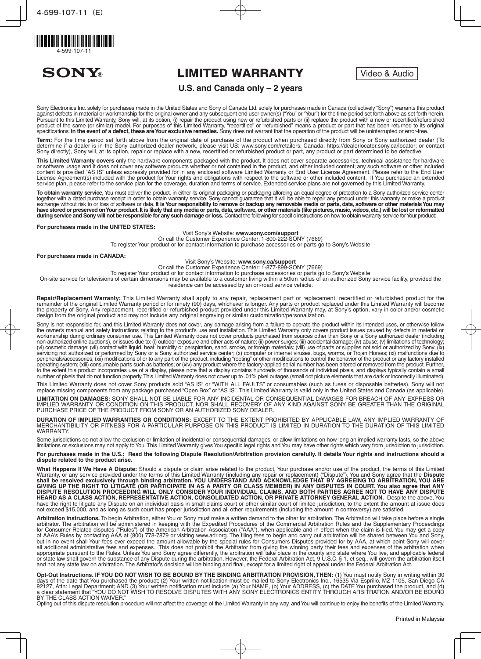

**SONY®** 

# **LIMITED WARRANTY** Video & Audio

## **U.S. and Canada only – 2 years**

Sony Electronics Inc. solely for purchases made in the United States and Sony of Canada Ltd. solely for purchases made in Canada (collectively "Sony") warrants this product against defects in material or workmanship for the original owner and any subsequent end user owner(s) ("You" or "Your") for the time period set forth above as set forth herein. Pursuant to this Limited Warranty, Sony will, at its option, (i) repair the product using new or refurbished parts or (ii) replace the product with a new or recertified/refurbished product of the same (or similar) model. For purposes of this Limited Warranty, "recertified" or "refurbished" means a product or part that has been returned to its original<br>specifications. **In the event of a defect, these** 

Term: For the time period set forth above from the original date of purchase of the product when purchased directly from Sony or Sony authorized dealer (To determine if a dealer is in the Sony authorized dealer network, please visit US: www.sony.com/retailers; Canada: https://dealerlocator.sony.ca/locator; or contact Sony directly), Sony will, at its option, repair or replace with a new, recertified or refurbished product or part, any product or part determined to be defective.

This Limited Warranty covers only the hardware components packaged with the product. It does not cover separate accessories, technical assistance for hardware or software usage and it does not cover any software products whether or not contained in the product, and other included content; any such software or other included content is provided "AS IS" unless expressly provided for in any enclosed software Limited Warranty or End User License Agreement. Please refer to the End User License Agreement(s) included with the product for Your rights and obligations with respect to the software or other included content. If You purchased an extended service plan, please refer to the service plan for the coverage, duration and terms of service. Extended service plans are not governed by this Limited Warranty

To obtain warranty service, You must deliver the product, in either its original packaging or packaging affording an equal degree of protection to a Sony authorized service center together with a dated purchase receipt in order to obtain warranty service. Sony cannot guarantee that it will be able to repair any product under this warranty or make a product<br>exchange without risk to or loss of softwar have stored or preserved on Your product. It is likely that any media or parts, data, software, or other materials (like pictures, music, videos, etc.) will be lost or reformatted during service and Sony will not be responsible for any such damage or loss. Contact the following for specific instructions on how to obtain warranty service for Your product:

**For purchases made in the UNITED STATES:** 

Visit Sony's Website: www.sony.com/support

Or call the Customer Experience Center: 1-800-222-SONY (7669) To register Your product or for contact information to purchase accessories or parts go to Sony's Website

**For purchases made in CANADA:** 

Visit Sony's Website: www.sony.ca/support

Or call the Customer Experience Center: 1-877-899-SONY (7669)

To register Your product or for contact information to purchase accessories or parts go to Sony's Website

On-site service for televisions of certain dimensions may be available to a customer living within a 50km radius of an authorized Sony service facility, provided the residence can be accessed by an on-road service vehicle.

Repair/Replacement Warranty: This Limited Warranty shall apply to any repair, replacement part or replacement, recertified or refurbished product for the remainder of the original Limited Warranty period or for ninety (90) days, whichever is longer. Any parts or product replaced under this Limited Warranty will become the property of Sony. Any replacement, recertified or refurbished product provided under this Limited Warranty may, at Sony's option, vary in color and/or cosmetic design from the original product and may not include any original engraving or similar customization/personalization.

Sony is not responsible for, and this Limited Warranty does not cover, any damage arising from a failure to operate the product within its intended uses, or otherwise follow the owner's manual and safety instructions relating to the product's use and installation. This Limited Warranty only covers product issues caused by defects in material or workmanship during ordinary consumer use. This Limited Warranty does not cover products purchased from sources other than Sony or a Sony authorized dealer (including non-authorized online auctions), or issues due to: (i) outdoor exposure and other acts of nature; (ii) power surges; (iii) accidental damage; (iv) abuse; (v) limitations of technology; (vi) cosmetic damage; (vii) contact with liquid, heat, humidity or perspiration, sand, smoke, or foreign materials; (viii) use of parts or supplies not sold or authorized by Sony; (ix) servicing not authorized or performed by Sony or a Sony authorized service center; (x) computer or internet viruses, bugs, worms, or Trojan Horses; (xi) malfunctions due to peripherals/accessories; (xii) modifications of or to any part of the product, including "rooting" or other modifications to control the behavior of the product or any factory installed operating system; (xiii) consumable parts such as batteries; or (xiv) any product where the factory-applied serial number has been altered or removed from the product. Further, to the extent this product incorporates use of a display, please note that a display contains hundreds of thousands of individual pixels, and displays typically contain a small number of pixels that do not function properly. This Limited Warranty does not cover up to .01% pixel outages (small dot picture elements that are dark or incorrectly illuminated).

This Limited Warranty does not cover Sony products sold "AS IS" or "WITH ALL FAULTS" or consumables (such as fuses or disposable batteries). Sony will not replace missing components from any package purchased "Open Box" or "AS IS". This Limited Warranty is valid only in the United States and Canada (as applicable).

**LIMITATION ON DAMAGES:** SONY SHALL NOT BE LIABLE FOR ANY INCIDENTAL OR CONSEQUENTIAL DAMAGES FOR BREACH OF ANY EXPRESS OR IMPLIED WARRANTY OR CONDITION ON THIS PRODUCT. NOR SHALL RECOVERY OF ANY KIND AGAINST SONY BE GREATER THAN THE ORIGINAL PURCHASE PRICE OF THE PRODUCT FROM SONY OR AN AUTHORIZED SONY DEALER.

DURATION OF IMPLIED WARRANTIES OR CONDITIONS: EXCEPT TO THE EXTENT PROHIBITED BY APPLICABLE LAW, ANY IMPLIED WARRANTY OF MERCHANTIBILITY OR FITNESS FOR A PARTICULAR PURPOSE ON THIS PRODUCT IS LIMITED IN DURATION TO THE DURATION OF THIS LIMITED WARRANTY.

Some jurisdictions do not allow the exclusion or limitation of incidental or consequential damages, or allow limitations on how long an implied warranty lasts, so the above limitations or exclusions may not apply to You. This Limited Warranty gives You specific legal rights and You may have other rights which vary from jurisdiction to jurisdiction.

For purchases made in the U.S.: Read the following Dispute Resolution/Arbitration provision carefully. It details Your rights and instructions should a dispute related to the product arise.

What Happens If We Have A Dispute: Should a dispute or claim arise related to the product, Your purchase and/or use of the product, the terms of this Limited Warranty, or any service provided under the terms of this Limited Warranty (including any repair or replacement) ("Dispute"), You and Sony agree that the **Dispute**<br>shall be resolved exclusively through binding arbitration. GIVING UP THE RIGHT TO LITIGATE (OR PARTICIPATE IN AS A PARTY OR CLASS MEMBER) IN ANY DISPUTES IN COURT. You also agree that ANY DISPUTE RESOLUTION PROCEEDING WILL ONLY CONSIDER YOUR INDIVIDUAL CLAIMS, AND BOTH PARTIES AGREE NOT TO HAVE ANY DISPUTE HEARD AS A CLASS ACTION, REPRESENTATIVE ACTION, CONSOLIDATED ACTION, OR PRIVATE ATTORNEY GENERAL ACTION. Despite the above, You have the right to litigate any Dispute on an individual basis in small claims court or other similar court of limited jurisdiction, to the extent the amount at issue does not exceed \$15,000, and as long as such court has proper jurisdiction and all other requirements (including the amount in controversy) are satisfied.

Arbitration Instructions. To begin Arbitration, either You or Sony must make a written demand to the other for arbitration. The Arbitration will take place before a single arbitrator. The arbitration will be administered in keeping with the Expedited Procedures of the Commercial Arbitration Rules and the Supplementary Proceedings for Consumer-Related disputes ("Rules") of the American Arbitration Association ("AAA"), when applicable and in effect when the claim is filed. You may get a copy of AAA's Rules by contacting AAA at (800) 778-7879 or visiting www.adr.org. The filing fees to begin and carry out arbitration will be shared between You and Sony, but in no event shall Your fees ever exceed the amount allowable by the special rules for Consumers Disputes provided for by AAA, at which point Sony will cover all additional administrative fees and expenses. This does not prohibit the Arbitrator from giving the winning party their fees and expenses of the arbitration when appropriate pursuant to the Rules. Unless You and Sony agree differently, the arbitration will take place in the county and state where You live, and applicable federal or state law shall govern the substance of any Dispute during the arbitration. However, the Federal Arbitration Act, 9 U.S.C. § 1, et seq., will govern the arbitration itself and not any state law on arbitration. The Arbitrator's decision will be binding and final, except for a limited right of appeal under the Federal Arbitration Act.

Opt-Out Instructions. IF YOU DO NOT WISH TO BE BOUND BY THE BINDING ARBITRATION PROVISION, THEN: (1) You must notify Sony in writing within 30 days of the date that You purchased the product; (2) Your written notification must be mailed to Sony Electronics Inc., 16535 Via Esprillo, MZ 1105, San Diego CA 92127, Attn: Legal Department; AND (3) Your written notification must include (a) Your NAME, (b) Your ADDRESS, (c) the DATE You purchased the product, and (d) a clear statement that "YOU DO NOT WISH TO RESOLVE DISPUTES WITH ANY SONY ELECTRONICS ENTITY THROUGH ARBITRATION AND/OR BE BOUND BY THE CLASS ACTION WAIVER.

Opting out of this dispute resolution procedure will not affect the coverage of the Limited Warranty in any way, and You will continue to enjoy the benefits of the Limited Warranty.